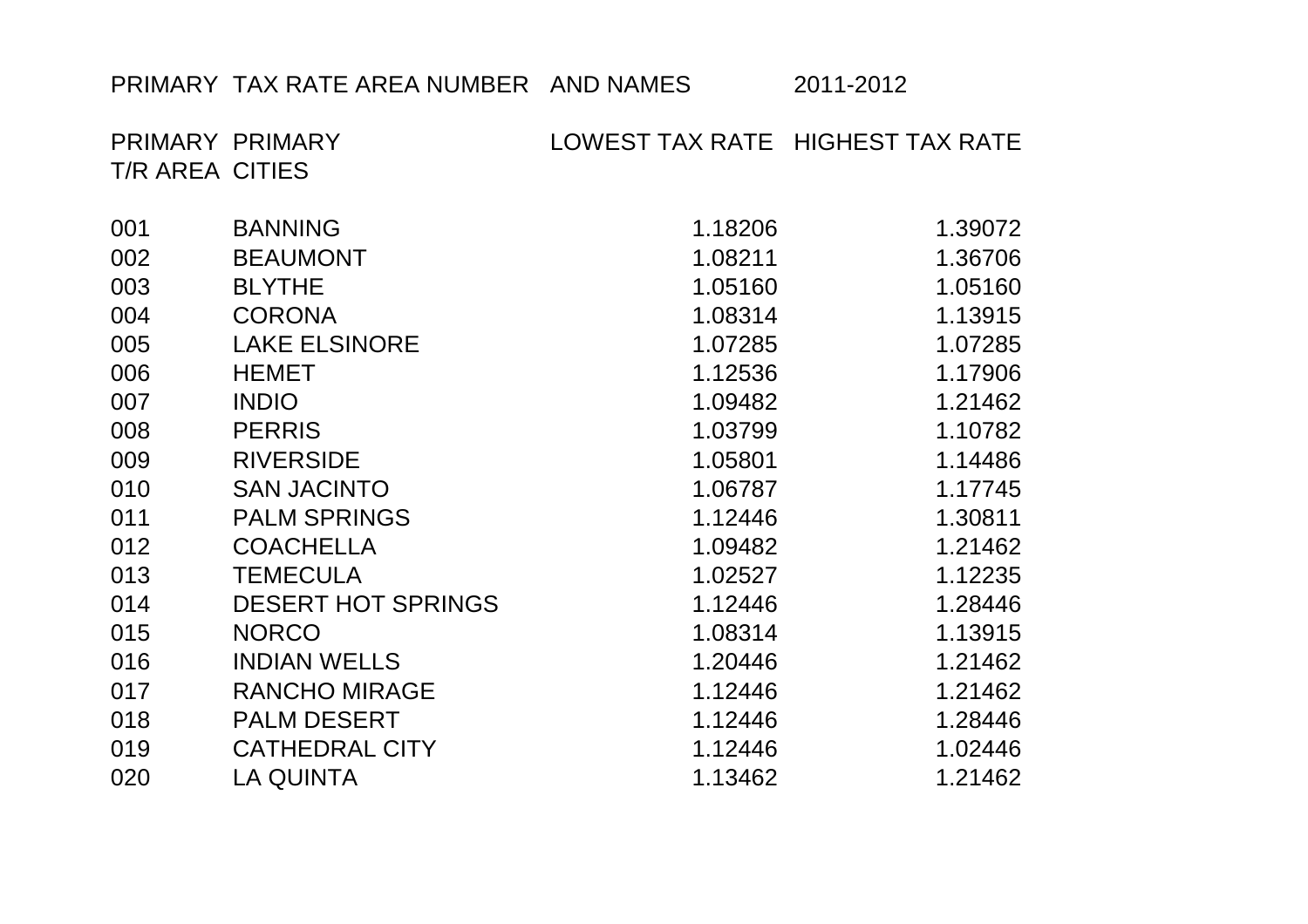## PRIMARY TAX RATE AREA NUMBER AND NAMES 2011-2012

PRIMARY PRIMARY LOWEST TAX RATE HIGHEST TAX RATE T/R AREA CITIES

| 001 | <b>BANNING</b>            | 1.18206 | 1.39072 |
|-----|---------------------------|---------|---------|
| 002 | <b>BEAUMONT</b>           | 1.08211 | 1.36706 |
| 003 | <b>BLYTHE</b>             | 1.05160 | 1.05160 |
| 004 | <b>CORONA</b>             | 1.08314 | 1.13915 |
| 005 | <b>LAKE ELSINORE</b>      | 1.07285 | 1.07285 |
| 006 | <b>HEMET</b>              | 1.12536 | 1.17906 |
| 007 | <b>INDIO</b>              | 1.09482 | 1.21462 |
| 008 | <b>PERRIS</b>             | 1.03799 | 1.10782 |
| 009 | <b>RIVERSIDE</b>          | 1.05801 | 1.14486 |
| 010 | <b>SAN JACINTO</b>        | 1.06787 | 1.17745 |
| 011 | <b>PALM SPRINGS</b>       | 1.12446 | 1.30811 |
| 012 | <b>COACHELLA</b>          | 1.09482 | 1.21462 |
| 013 | <b>TEMECULA</b>           | 1.02527 | 1.12235 |
| 014 | <b>DESERT HOT SPRINGS</b> | 1.12446 | 1.28446 |
| 015 | <b>NORCO</b>              | 1.08314 | 1.13915 |
| 016 | <b>INDIAN WELLS</b>       | 1.20446 | 1.21462 |
| 017 | <b>RANCHO MIRAGE</b>      | 1.12446 | 1.21462 |
| 018 | <b>PALM DESERT</b>        | 1.12446 | 1.28446 |
| 019 | <b>CATHEDRAL CITY</b>     | 1.12446 | 1.02446 |
| 020 | <b>LA QUINTA</b>          | 1.13462 | 1.21462 |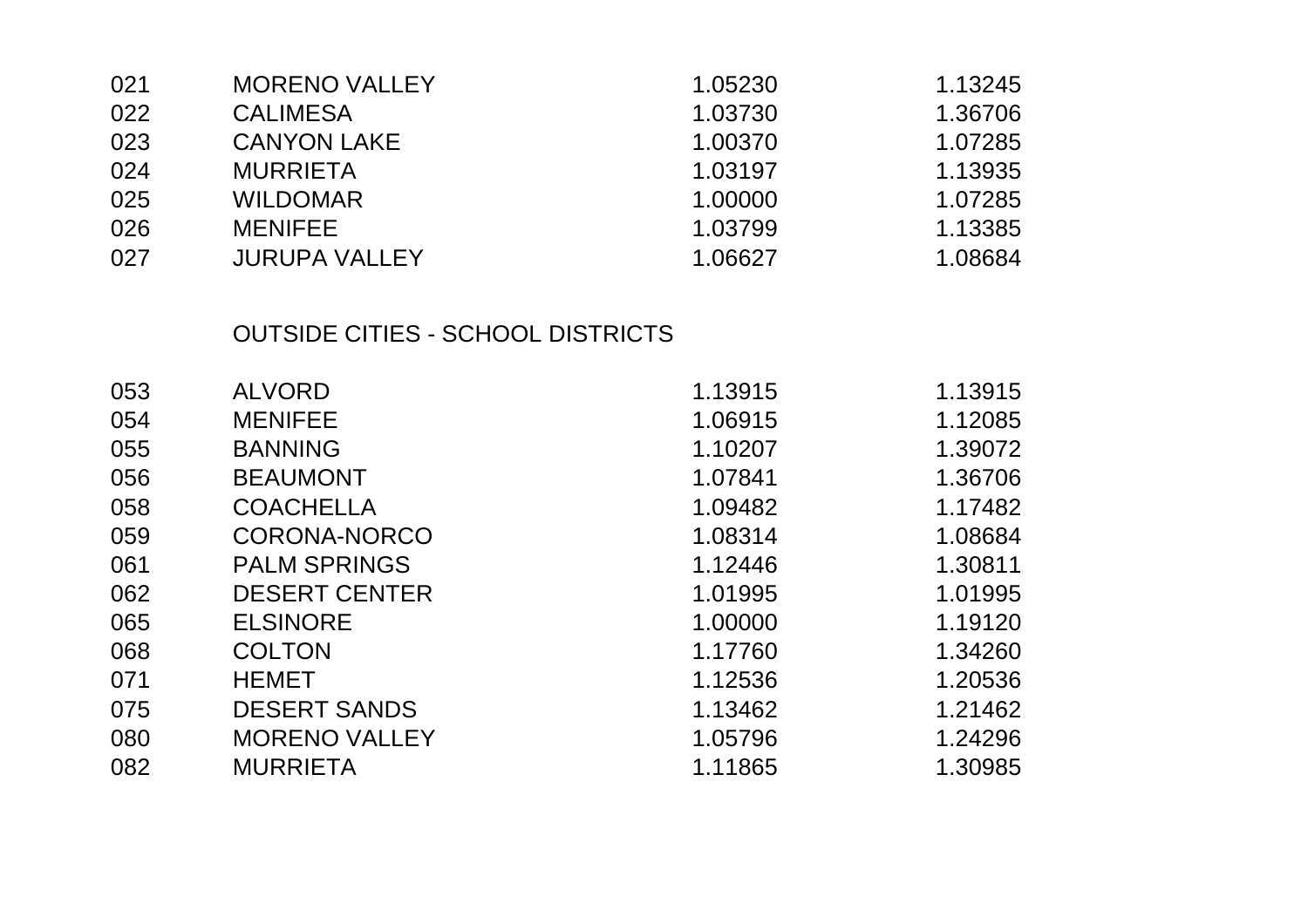| 021 | <b>MORENO VALLEY</b> | 1.05230 | 1.13245 |
|-----|----------------------|---------|---------|
| 022 | <b>CALIMESA</b>      | 1.03730 | 1.36706 |
| 023 | <b>CANYON LAKE</b>   | 1.00370 | 1.07285 |
| 024 | <b>MURRIETA</b>      | 1.03197 | 1.13935 |
| 025 | <b>WILDOMAR</b>      | 1.00000 | 1.07285 |
| 026 | <b>MENIFEE</b>       | 1.03799 | 1.13385 |
| 027 | <b>JURUPA VALLEY</b> | 1.06627 | 1.08684 |

## OUTSIDE CITIES - SCHOOL DISTRICTS

| 053 | <b>ALVORD</b>        | 1.13915 | 1.13915 |
|-----|----------------------|---------|---------|
| 054 | <b>MENIFEE</b>       | 1.06915 | 1.12085 |
| 055 | <b>BANNING</b>       | 1.10207 | 1.39072 |
| 056 | <b>BEAUMONT</b>      | 1.07841 | 1.36706 |
| 058 | <b>COACHELLA</b>     | 1.09482 | 1.17482 |
| 059 | CORONA-NORCO         | 1.08314 | 1.08684 |
| 061 | <b>PALM SPRINGS</b>  | 1.12446 | 1.30811 |
| 062 | <b>DESERT CENTER</b> | 1.01995 | 1.01995 |
| 065 | <b>ELSINORE</b>      | 1.00000 | 1.19120 |
| 068 | <b>COLTON</b>        | 1.17760 | 1.34260 |
| 071 | <b>HEMET</b>         | 1.12536 | 1.20536 |
| 075 | <b>DESERT SANDS</b>  | 1.13462 | 1.21462 |
| 080 | <b>MORENO VALLEY</b> | 1.05796 | 1.24296 |
| 082 | <b>MURRIETA</b>      | 1.11865 | 1.30985 |